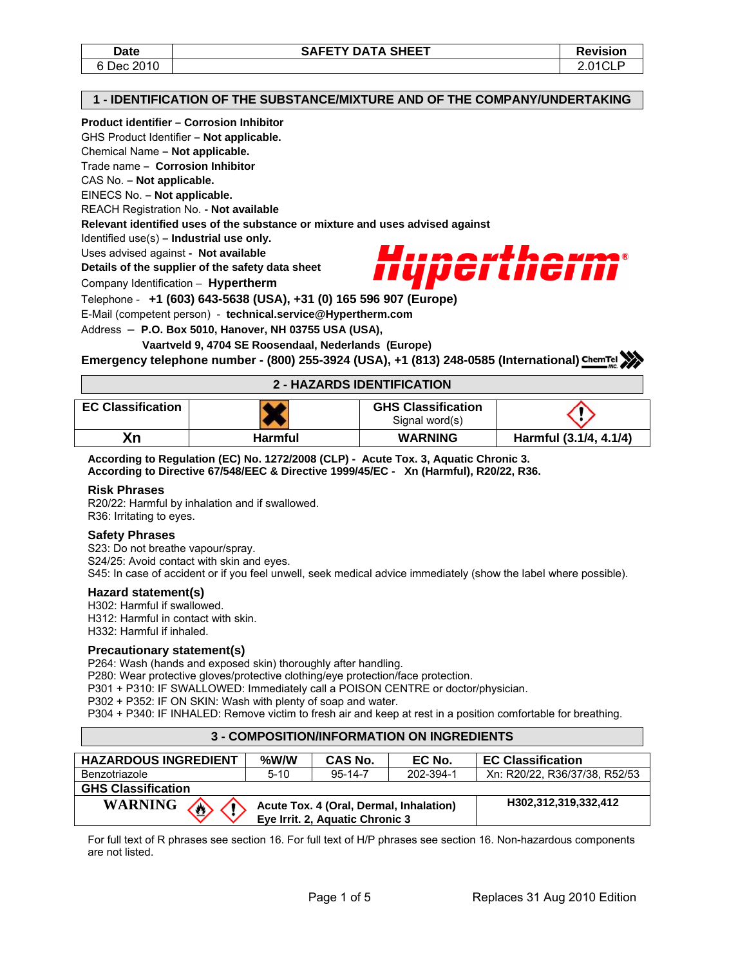### **1 - IDENTIFICATION OF THE SUBSTANCE/MIXTURE AND OF THE COMPANY/UNDERTAKING**

#### **Product identifier – Corrosion Inhibitor**

GHS Product Identifier **– Not applicable.** 

Chemical Name **– Not applicable.** 

Trade name **– Corrosion Inhibitor** 

CAS No. **– Not applicable.** 

EINECS No. **– Not applicable.** 

REACH Registration No. **- Not available** 

**Relevant identified uses of the substance or mixture and uses advised against** 

Identified use(s) **– Industrial use only.** 

Uses advised against **- Not available** 

**Details of the supplier of the safety data sheet** 

Company Identification – **Hypertherm**



Telephone - **+1 (603) 643-5638 (USA), +31 (0) 165 596 907 (Europe)**

E-Mail (competent person) - **technical.service@Hypertherm.com** 

Address – **P.O. Box 5010, Hanover, NH 03755 USA (USA),** 

 **Vaartveld 9, 4704 SE Roosendaal, Nederlands (Europe)**

**Emergency telephone number - (800) 255-3924 (USA), +1 (813) 248-0585 (International)**

## **2 - HAZARDS IDENTIFICATION**

| <b>EC Classification</b> |         | <b>GHS Classification</b><br>Signal word(s) |                        |
|--------------------------|---------|---------------------------------------------|------------------------|
| Xn                       | Harmful | <b>WARNING</b>                              | Harmful (3.1/4, 4.1/4) |

**According to Regulation (EC) No. 1272/2008 (CLP) - Acute Tox. 3, Aquatic Chronic 3. According to Directive 67/548/EEC & Directive 1999/45/EC - Xn (Harmful), R20/22, R36.** 

### **Risk Phrases**

R20/22: Harmful by inhalation and if swallowed. R36: Irritating to eyes.

### **Safety Phrases**

S23: Do not breathe vapour/spray. S24/25: Avoid contact with skin and eyes. S45: In case of accident or if you feel unwell, seek medical advice immediately (show the label where possible).

### **Hazard statement(s)**

H302: Harmful if swallowed. H312: Harmful in contact with skin. H332: Harmful if inhaled.

### **Precautionary statement(s)**

P264: Wash (hands and exposed skin) thoroughly after handling.

P280: Wear protective gloves/protective clothing/eye protection/face protection.

P301 + P310: IF SWALLOWED: Immediately call a POISON CENTRE or doctor/physician.

P302 + P352: IF ON SKIN: Wash with plenty of soap and water.

P304 + P340: IF INHALED: Remove victim to fresh air and keep at rest in a position comfortable for breathing.

#### **3 - COMPOSITION/INFORMATION ON INGREDIENTS**

| <b>HAZARDOUS INGREDIENT</b> | $%$ W/W                                                                    | CAS No.       | EC No.    | <b>EC Classification</b>      |  |
|-----------------------------|----------------------------------------------------------------------------|---------------|-----------|-------------------------------|--|
| Benzotriazole               | $5 - 10$                                                                   | $95 - 14 - 7$ | 202-394-1 | Xn: R20/22, R36/37/38, R52/53 |  |
| <b>GHS Classification</b>   |                                                                            |               |           |                               |  |
| <b>WARNING</b><br>♢         | Acute Tox. 4 (Oral, Dermal, Inhalation)<br>Eye Irrit. 2, Aquatic Chronic 3 |               |           | H302.312.319.332.412          |  |

For full text of R phrases see section 16. For full text of H/P phrases see section 16. Non-hazardous components are not listed.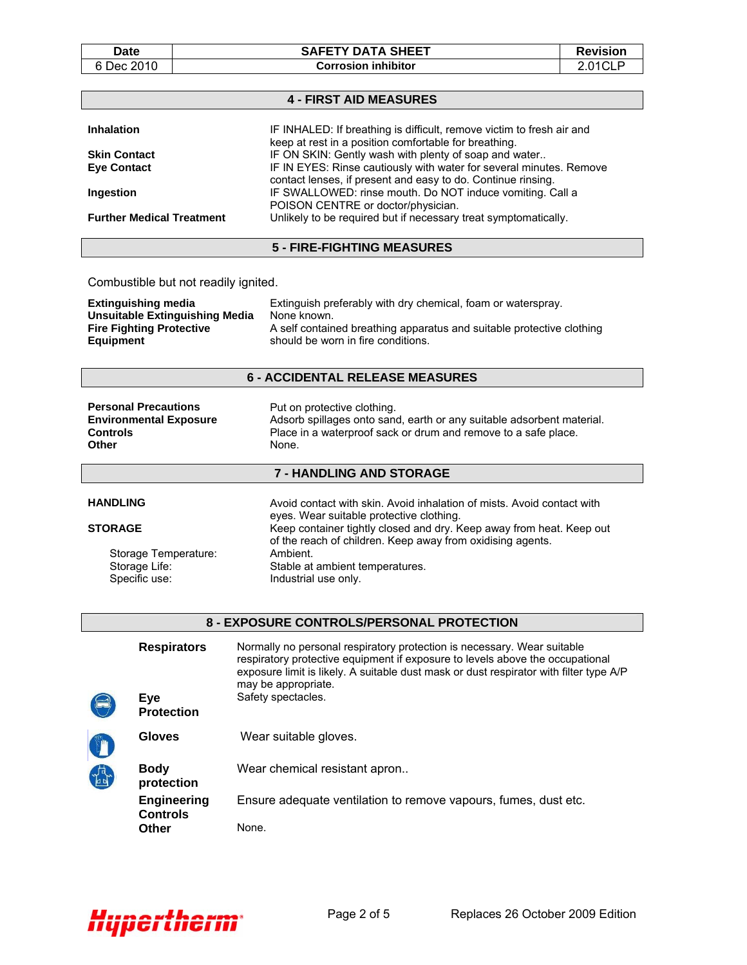Date | SAFETY DATA SHEET | Revision 6 Dec 2010 **Corrosion inhibitor** 2.01CLP

|                                                                     |                                      | <b>4 - FIRST AID MEASURES</b>                                                                                                                                                                                                                      |  |  |
|---------------------------------------------------------------------|--------------------------------------|----------------------------------------------------------------------------------------------------------------------------------------------------------------------------------------------------------------------------------------------------|--|--|
| <b>Inhalation</b>                                                   |                                      | IF INHALED: If breathing is difficult, remove victim to fresh air and                                                                                                                                                                              |  |  |
|                                                                     |                                      | keep at rest in a position comfortable for breathing.<br>IF ON SKIN: Gently wash with plenty of soap and water                                                                                                                                     |  |  |
| <b>Skin Contact</b><br><b>Eve Contact</b>                           |                                      | IF IN EYES: Rinse cautiously with water for several minutes. Remove                                                                                                                                                                                |  |  |
|                                                                     |                                      | contact lenses, if present and easy to do. Continue rinsing.                                                                                                                                                                                       |  |  |
| Ingestion                                                           |                                      | IF SWALLOWED: rinse mouth. Do NOT induce vomiting. Call a                                                                                                                                                                                          |  |  |
|                                                                     | <b>Further Medical Treatment</b>     | POISON CENTRE or doctor/physician.<br>Unlikely to be required but if necessary treat symptomatically.                                                                                                                                              |  |  |
|                                                                     |                                      |                                                                                                                                                                                                                                                    |  |  |
|                                                                     |                                      | <b>5 - FIRE-FIGHTING MEASURES</b>                                                                                                                                                                                                                  |  |  |
|                                                                     | Combustible but not readily ignited. |                                                                                                                                                                                                                                                    |  |  |
| <b>Extinguishing media</b><br><b>Unsuitable Extinguishing Media</b> |                                      | Extinguish preferably with dry chemical, foam or waterspray.<br>None known.                                                                                                                                                                        |  |  |
|                                                                     | <b>Fire Fighting Protective</b>      | A self contained breathing apparatus and suitable protective clothing                                                                                                                                                                              |  |  |
| <b>Equipment</b>                                                    |                                      | should be worn in fire conditions.                                                                                                                                                                                                                 |  |  |
|                                                                     |                                      | <b>6 - ACCIDENTAL RELEASE MEASURES</b>                                                                                                                                                                                                             |  |  |
|                                                                     |                                      |                                                                                                                                                                                                                                                    |  |  |
| <b>Personal Precautions</b>                                         |                                      | Put on protective clothing.                                                                                                                                                                                                                        |  |  |
| <b>Controls</b>                                                     | <b>Environmental Exposure</b>        | Adsorb spillages onto sand, earth or any suitable adsorbent material.                                                                                                                                                                              |  |  |
| <b>Other</b>                                                        |                                      | Place in a waterproof sack or drum and remove to a safe place.<br>None.                                                                                                                                                                            |  |  |
|                                                                     |                                      |                                                                                                                                                                                                                                                    |  |  |
|                                                                     |                                      | 7 - HANDLING AND STORAGE                                                                                                                                                                                                                           |  |  |
| <b>HANDLING</b>                                                     |                                      | Avoid contact with skin. Avoid inhalation of mists. Avoid contact with                                                                                                                                                                             |  |  |
|                                                                     |                                      | eyes. Wear suitable protective clothing.                                                                                                                                                                                                           |  |  |
| <b>STORAGE</b>                                                      |                                      | Keep container tightly closed and dry. Keep away from heat. Keep out<br>of the reach of children. Keep away from oxidising agents.                                                                                                                 |  |  |
|                                                                     | Storage Temperature:                 | Ambient.                                                                                                                                                                                                                                           |  |  |
|                                                                     | Storage Life:                        | Stable at ambient temperatures.                                                                                                                                                                                                                    |  |  |
|                                                                     | Specific use:                        | Industrial use only.                                                                                                                                                                                                                               |  |  |
|                                                                     |                                      |                                                                                                                                                                                                                                                    |  |  |
|                                                                     |                                      | 8 - EXPOSURE CONTROLS/PERSONAL PROTECTION                                                                                                                                                                                                          |  |  |
|                                                                     | <b>Respirators</b>                   | Normally no personal respiratory protection is necessary. Wear suitable<br>respiratory protective equipment if exposure to levels above the occupational<br>exposure limit is likely. A suitable dust mask or dust respirator with filter type A/P |  |  |
|                                                                     |                                      | may be appropriate.                                                                                                                                                                                                                                |  |  |
|                                                                     | Eye<br><b>Protection</b>             | Safety spectacles.                                                                                                                                                                                                                                 |  |  |
|                                                                     | <b>Gloves</b>                        | Wear suitable gloves.                                                                                                                                                                                                                              |  |  |
|                                                                     | <b>Body</b>                          | Wear chemical resistant apron                                                                                                                                                                                                                      |  |  |
|                                                                     | protection                           |                                                                                                                                                                                                                                                    |  |  |
|                                                                     | <b>Engineering</b>                   | Ensure adequate ventilation to remove vapours, fumes, dust etc.                                                                                                                                                                                    |  |  |

**Controls**

**Other** None.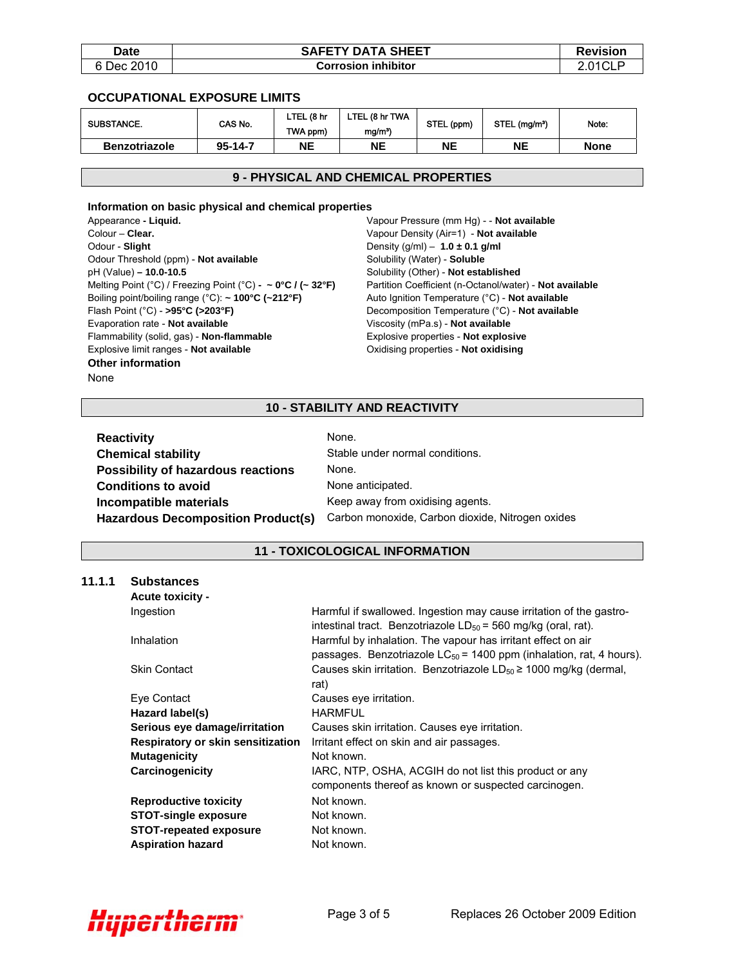| Date       | <b>SAFETY DATA SHEET</b>   | <b>Revision</b> |
|------------|----------------------------|-----------------|
| 6 Dec 2010 | <b>Corrosion inhibitor</b> |                 |

#### **OCCUPATIONAL EXPOSURE LIMITS**

| <b>SUBSTANCE.</b>    | CAS No.       | ∟TEL (8 hr<br>TWA ppm) | LTEL (8 hr TWA<br>$mg/m^3$ | STEL (ppm) | STEL (mg/m <sup>3</sup> ) | Note:       |
|----------------------|---------------|------------------------|----------------------------|------------|---------------------------|-------------|
| <b>Benzotriazole</b> | $95 - 14 - 7$ | NΕ                     | NΕ                         | NE         | NΕ                        | <b>None</b> |

#### **9 - PHYSICAL AND CHEMICAL PROPERTIES**

#### **Information on basic physical and chemical properties**

Appearance **- Liquid.** Colour – **Clear.** Odour - **Slight** Odour Threshold (ppm) - **Not available** pH (Value) **– 10.0-10.5** Melting Point (°C) / Freezing Point (°C) **- ~ 0°C / (~ 32°F)**  Boiling point/boiling range (°C): **~ 100°C (~212°F)**  Flash Point (°C) - **>95°C (>203°F)** Evaporation rate - **Not available** Flammability (solid, gas) - **Non-flammable** Explosive limit ranges - **Not available Other information**  None

Vapour Pressure (mm Hg) - - **Not available** Vapour Density (Air=1) - **Not available** Density (g/ml) – **1.0 ± 0.1 g/ml** Solubility (Water) - **Soluble** Solubility (Other) - **Not established** Partition Coefficient (n-Octanol/water) - **Not available** Auto Ignition Temperature (°C) - **Not available**  Decomposition Temperature (°C) - **Not available** Viscosity (mPa.s) - **Not available** Explosive properties - **Not explosive** Oxidising properties - **Not oxidising**

### **10 - STABILITY AND REACTIVITY**

| <b>Reactivity</b>                         | None.                                            |
|-------------------------------------------|--------------------------------------------------|
| <b>Chemical stability</b>                 | Stable under normal conditions.                  |
| <b>Possibility of hazardous reactions</b> | None.                                            |
| <b>Conditions to avoid</b>                | None anticipated.                                |
| Incompatible materials                    | Keep away from oxidising agents.                 |
| <b>Hazardous Decomposition Product(s)</b> | Carbon monoxide, Carbon dioxide, Nitrogen oxides |

# **11 - TOXICOLOGICAL INFORMATION**

#### **11.1.1 Substances**

| Harmful if swallowed. Ingestion may cause irritation of the gastro-<br>intestinal tract. Benzotriazole $LD_{50} = 560$ mg/kg (oral, rat). |
|-------------------------------------------------------------------------------------------------------------------------------------------|
| Harmful by inhalation. The vapour has irritant effect on air<br>passages. Benzotriazole $LC_{50}$ = 1400 ppm (inhalation, rat, 4 hours).  |
| Causes skin irritation. Benzotriazole $LD_{50} \ge 1000$ mg/kg (dermal,<br>rat)                                                           |
| Causes eye irritation.                                                                                                                    |
| <b>HARMFUL</b>                                                                                                                            |
| Causes skin irritation. Causes eye irritation.                                                                                            |
| Irritant effect on skin and air passages.                                                                                                 |
| Not known.                                                                                                                                |
| IARC, NTP, OSHA, ACGIH do not list this product or any<br>components thereof as known or suspected carcinogen.                            |
| Not known.                                                                                                                                |
| Not known.                                                                                                                                |
| Not known.                                                                                                                                |
| Not known.                                                                                                                                |
|                                                                                                                                           |

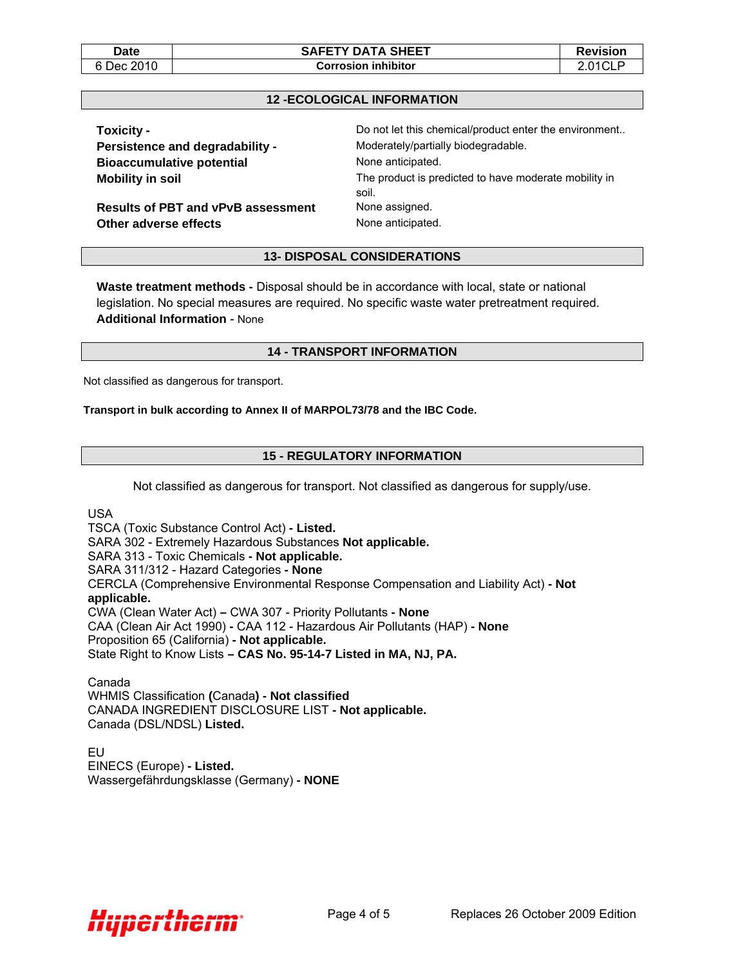### **12 -ECOLOGICAL INFORMATION**

| Toxicity -                                | Do not let this chemical/product enter the environment         |
|-------------------------------------------|----------------------------------------------------------------|
| Persistence and degradability -           | Moderately/partially biodegradable.                            |
| <b>Bioaccumulative potential</b>          | None anticipated.                                              |
| <b>Mobility in soil</b>                   | The product is predicted to have moderate mobility in<br>soil. |
| <b>Results of PBT and vPvB assessment</b> | None assigned.                                                 |
| Other adverse effects                     | None anticipated.                                              |

**13- DISPOSAL CONSIDERATIONS** 

**Waste treatment methods -** Disposal should be in accordance with local, state or national legislation. No special measures are required. No specific waste water pretreatment required. **Additional Information** - None

#### **14 - TRANSPORT INFORMATION**

Not classified as dangerous for transport.

#### **Transport in bulk according to Annex II of MARPOL73/78 and the IBC Code.**

## **15 - REGULATORY INFORMATION**

Not classified as dangerous for transport. Not classified as dangerous for supply/use.

USA

TSCA (Toxic Substance Control Act) **- Listed.**  SARA 302 - Extremely Hazardous Substances **Not applicable.**  SARA 313 - Toxic Chemicals **- Not applicable.**  SARA 311/312 - Hazard Categories **- None**  CERCLA (Comprehensive Environmental Response Compensation and Liability Act) **- Not applicable.**  CWA (Clean Water Act) **–** CWA 307 - Priority Pollutants **- None**  CAA (Clean Air Act 1990) **-** CAA 112 - Hazardous Air Pollutants (HAP) **- None**  Proposition 65 (California) **- Not applicable.**  State Right to Know Lists **– CAS No. 95-14-7 Listed in MA, NJ, PA.** 

Canada WHMIS Classification **(**Canada**) - Not classified**  CANADA INGREDIENT DISCLOSURE LIST **- Not applicable.**  Canada (DSL/NDSL) **Listed.** 

EU EINECS (Europe) **- Listed.**  Wassergefährdungsklasse (Germany) **- NONE**